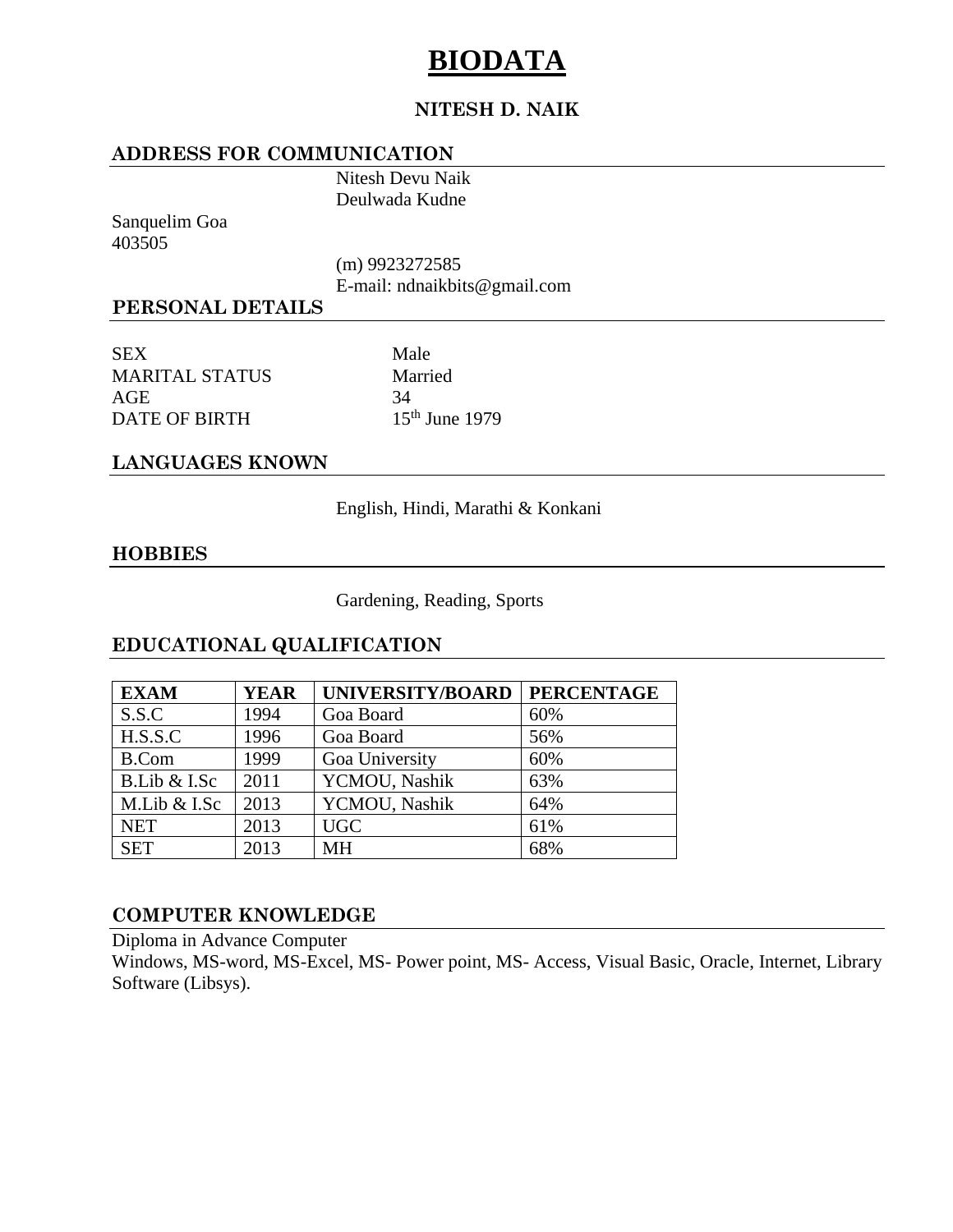# **BIODATA**

## **NITESH D. NAIK**

#### **ADDRESS FOR COMMUNICATION**

Nitesh Devu Naik Deulwada Kudne

Sanquelim Goa 403505

(m) 9923272585

E-mail: ndnaikbits@gmail.com

## **PERSONAL DETAILS**

SEX Male MARITAL STATUS Married  $AGE$  34 DATE OF BIRTH 15th June 1979

## **LANGUAGES KNOWN**

English, Hindi, Marathi & Konkani

#### **HOBBIES**

Gardening, Reading, Sports

## **EDUCATIONAL QUALIFICATION**

| <b>EXAM</b>  | <b>YEAR</b> | UNIVERSITY/BOARD | <b>PERCENTAGE</b> |
|--------------|-------------|------------------|-------------------|
| S.S.C        | 1994        | Goa Board        | 60%               |
| H.S.S.C      | 1996        | Goa Board        | 56%               |
| <b>B.Com</b> | 1999        | Goa University   | 60%               |
| B.Lib & I.Sc | 2011        | YCMOU, Nashik    | 63%               |
| M.Lib & I.Sc | 2013        | YCMOU, Nashik    | 64%               |
| <b>NET</b>   | 2013        | <b>UGC</b>       | 61%               |
| <b>SET</b>   | 2013        | <b>MH</b>        | 68%               |

#### **COMPUTER KNOWLEDGE**

Diploma in Advance Computer

Windows, MS-word, MS-Excel, MS- Power point, MS- Access, Visual Basic, Oracle, Internet, Library Software (Libsys).